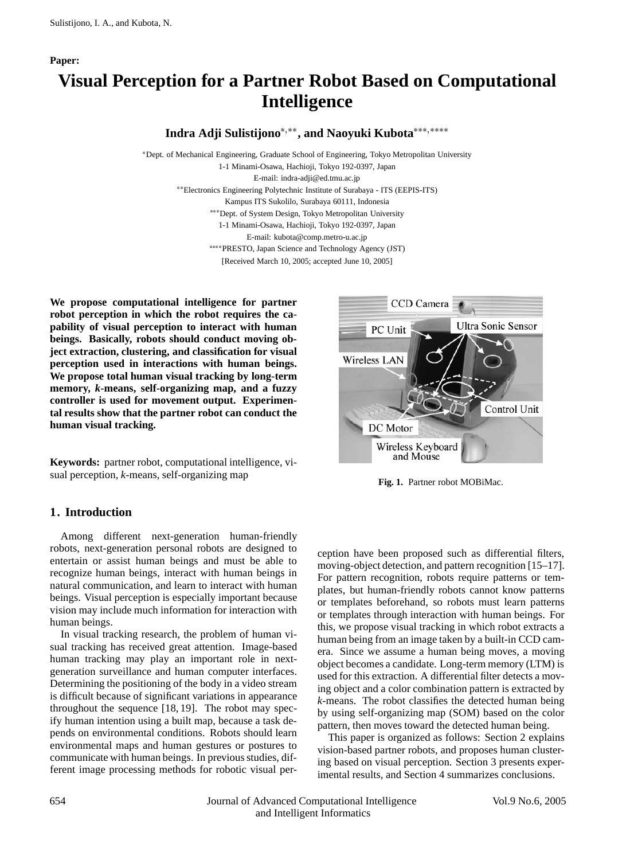#### **Paper:**

# **Visual Perception for a Partner Robot Based on Computational Intelligence**

Indra Adji Sulistijono<sup>\*,\*\*</sup>, and Naoyuki Kubota<sup>\*\*\*,\*\*\*\*</sup>

\*Dept. of Mechanical Engineering, Graduate School of Engineering, Tokyo Metropolitan University 1-1 Minami-Osawa, Hachioji, Tokyo 192-0397, Japan E-mail: indra-adji@ed.tmu.ac.jp Electronics Engineering Polytechnic Institute of Surabaya - ITS (EEPIS-ITS) Kampus ITS Sukolilo, Surabaya 60111, Indonesia \*\*\* Dept. of System Design, Tokyo Metropolitan University 1-1 Minami-Osawa, Hachioji, Tokyo 192-0397, Japan E-mail: kubota@comp.metro-u.ac.jp PRESTO, Japan Science and Technology Agency (JST) [Received March 10, 2005; accepted June 10, 2005]

**We propose computational intelligence for partner robot perception in which the robot requires the capability of visual perception to interact with human beings. Basically, robots should conduct moving object extraction, clustering, and classification for visual perception used in interactions with human beings. We propose total human visual tracking by long-term memory,** *k***-means, self-organizing map, and a fuzzy controller is used for movement output. Experimental results show that the partner robot can conduct the human visual tracking.**

**Keywords:** partner robot, computational intelligence, visual perception, *k*-means, self-organizing map

## **1. Introduction**

Among different next-generation human-friendly robots, next-generation personal robots are designed to entertain or assist human beings and must be able to recognize human beings, interact with human beings in natural communication, and learn to interact with human beings. Visual perception is especially important because vision may include much information for interaction with human beings.

In visual tracking research, the problem of human visual tracking has received great attention. Image-based human tracking may play an important role in nextgeneration surveillance and human computer interfaces. Determining the positioning of the body in a video stream is difficult because of significant variations in appearance throughout the sequence [18, 19]. The robot may specify human intention using a built map, because a task depends on environmental conditions. Robots should learn environmental maps and human gestures or postures to communicate with human beings. In previous studies, different image processing methods for robotic visual per-



**Fig. 1.** Partner robot MOBiMac.

ception have been proposed such as differential filters, moving-object detection, and pattern recognition [15–17]. For pattern recognition, robots require patterns or templates, but human-friendly robots cannot know patterns or templates beforehand, so robots must learn patterns or templates through interaction with human beings. For this, we propose visual tracking in which robot extracts a human being from an image taken by a built-in CCD camera. Since we assume a human being moves, a moving object becomes a candidate. Long-term memory (LTM) is used for this extraction. A differential filter detects a moving object and a color combination pattern is extracted by *k*-means. The robot classifies the detected human being by using self-organizing map (SOM) based on the color pattern, then moves toward the detected human being.

This paper is organized as follows: Section 2 explains vision-based partner robots, and proposes human clustering based on visual perception. Section 3 presents experimental results, and Section 4 summarizes conclusions.